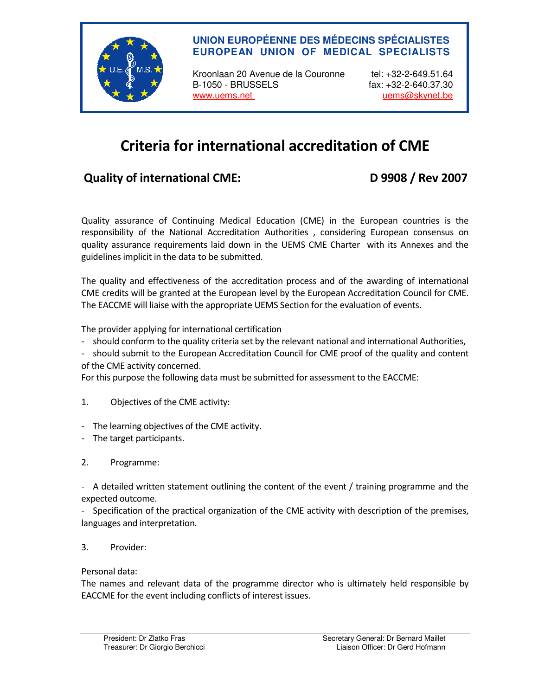

### **UNION EUROPÉENNE DES MÉDECINS SPÉCIALISTES EUROPEAN UNION OF MEDICAL SPECIALISTS**

Kroonlaan 20 Avenue de la Couronne tel: +32-2-649.51.64 B-1050 - BRUSSELS fax: +32-2-640.37.30 www.uems.net version of the unit of the unit of the unit of the unit of the unit of the unit of the unit of the unit of the unit of the unit of the unit of the unit of the unit of the unit of the unit of the unit of the un

# Criteria for international accreditation of CME

## Quality of international CME: D 9908 / Rev 2007

Quality assurance of Continuing Medical Education (CME) in the European countries is the responsibility of the National Accreditation Authorities , considering European consensus on quality assurance requirements laid down in the UEMS CME Charter with its Annexes and the guidelines implicit in the data to be submitted.

The quality and effectiveness of the accreditation process and of the awarding of international CME credits will be granted at the European level by the European Accreditation Council for CME. The EACCME will liaise with the appropriate UEMS Section for the evaluation of events.

The provider applying for international certification

- should conform to the quality criteria set by the relevant national and international Authorities,
- should submit to the European Accreditation Council for CME proof of the quality and content of the CME activity concerned.

For this purpose the following data must be submitted for assessment to the EACCME:

- 1. Objectives of the CME activity:
- The learning objectives of the CME activity.
- The target participants.

### 2. Programme:

- A detailed written statement outlining the content of the event / training programme and the expected outcome.

- Specification of the practical organization of the CME activity with description of the premises, languages and interpretation.

### 3. Provider:

Personal data:

The names and relevant data of the programme director who is ultimately held responsible by EACCME for the event including conflicts of interest issues.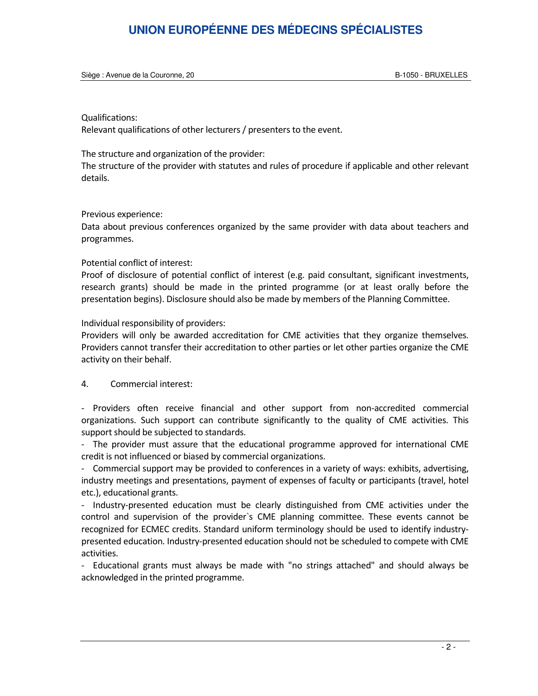## **UNION EUROPÉENNE DES MÉDECINS SPÉCIALISTES**

Siège : Avenue de la Couronne, 20 B-1050 - BRUXELLES

#### Qualifications:

Relevant qualifications of other lecturers / presenters to the event.

#### The structure and organization of the provider:

The structure of the provider with statutes and rules of procedure if applicable and other relevant details.

#### Previous experience:

Data about previous conferences organized by the same provider with data about teachers and programmes.

#### Potential conflict of interest:

Proof of disclosure of potential conflict of interest (e.g. paid consultant, significant investments, research grants) should be made in the printed programme (or at least orally before the presentation begins). Disclosure should also be made by members of the Planning Committee.

#### Individual responsibility of providers:

Providers will only be awarded accreditation for CME activities that they organize themselves. Providers cannot transfer their accreditation to other parties or let other parties organize the CME activity on their behalf.

#### 4. Commercial interest:

- Providers often receive financial and other support from non-accredited commercial organizations. Such support can contribute significantly to the quality of CME activities. This support should be subjected to standards.

- The provider must assure that the educational programme approved for international CME credit is not influenced or biased by commercial organizations.

- Commercial support may be provided to conferences in a variety of ways: exhibits, advertising, industry meetings and presentations, payment of expenses of faculty or participants (travel, hotel etc.), educational grants.

- Industry-presented education must be clearly distinguished from CME activities under the control and supervision of the provider`s CME planning committee. These events cannot be recognized for ECMEC credits. Standard uniform terminology should be used to identify industrypresented education. Industry-presented education should not be scheduled to compete with CME activities.

- Educational grants must always be made with "no strings attached" and should always be acknowledged in the printed programme.